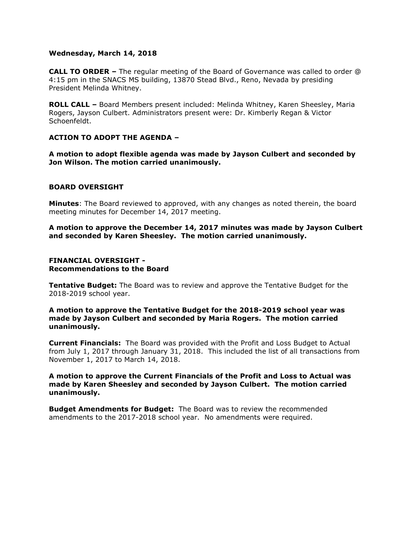## **Wednesday, March 14, 2018**

**CALL TO ORDER –** The regular meeting of the Board of Governance was called to order @ 4:15 pm in the SNACS MS building, 13870 Stead Blvd., Reno, Nevada by presiding President Melinda Whitney.

**ROLL CALL –** Board Members present included: Melinda Whitney, Karen Sheesley, Maria Rogers, Jayson Culbert. Administrators present were: Dr. Kimberly Regan & Victor Schoenfeldt.

# **ACTION TO ADOPT THE AGENDA –**

**A motion to adopt flexible agenda was made by Jayson Culbert and seconded by Jon Wilson. The motion carried unanimously.** 

## **BOARD OVERSIGHT**

**Minutes**: The Board reviewed to approved, with any changes as noted therein, the board meeting minutes for December 14, 2017 meeting.

**A motion to approve the December 14, 2017 minutes was made by Jayson Culbert and seconded by Karen Sheesley. The motion carried unanimously.**

## **FINANCIAL OVERSIGHT - Recommendations to the Board**

**Tentative Budget:** The Board was to review and approve the Tentative Budget for the 2018-2019 school year.

**A motion to approve the Tentative Budget for the 2018-2019 school year was made by Jayson Culbert and seconded by Maria Rogers. The motion carried unanimously.**

**Current Financials:** The Board was provided with the Profit and Loss Budget to Actual from July 1, 2017 through January 31, 2018. This included the list of all transactions from November 1, 2017 to March 14, 2018.

**A motion to approve the Current Financials of the Profit and Loss to Actual was made by Karen Sheesley and seconded by Jayson Culbert. The motion carried unanimously.**

**Budget Amendments for Budget:** The Board was to review the recommended amendments to the 2017-2018 school year. No amendments were required.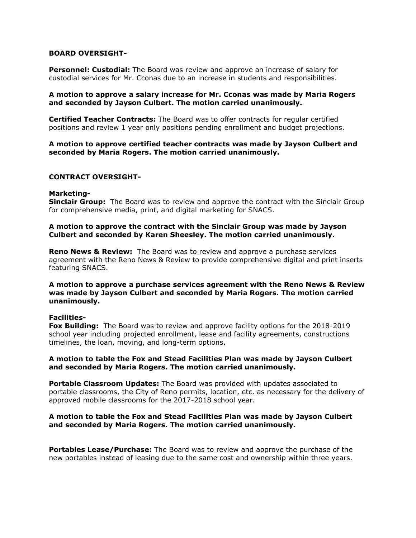## **BOARD OVERSIGHT-**

**Personnel: Custodial:** The Board was review and approve an increase of salary for custodial services for Mr. Cconas due to an increase in students and responsibilities.

## **A motion to approve a salary increase for Mr. Cconas was made by Maria Rogers and seconded by Jayson Culbert. The motion carried unanimously.**

**Certified Teacher Contracts:** The Board was to offer contracts for regular certified positions and review 1 year only positions pending enrollment and budget projections.

## **A motion to approve certified teacher contracts was made by Jayson Culbert and seconded by Maria Rogers. The motion carried unanimously.**

## **CONTRACT OVERSIGHT-**

#### **Marketing-**

**Sinclair Group:** The Board was to review and approve the contract with the Sinclair Group for comprehensive media, print, and digital marketing for SNACS.

## **A motion to approve the contract with the Sinclair Group was made by Jayson Culbert and seconded by Karen Sheesley. The motion carried unanimously.**

**Reno News & Review:** The Board was to review and approve a purchase services agreement with the Reno News & Review to provide comprehensive digital and print inserts featuring SNACS.

## **A motion to approve a purchase services agreement with the Reno News & Review was made by Jayson Culbert and seconded by Maria Rogers. The motion carried unanimously.**

#### **Facilities-**

**Fox Building:** The Board was to review and approve facility options for the 2018-2019 school year including projected enrollment, lease and facility agreements, constructions timelines, the loan, moving, and long-term options.

## **A motion to table the Fox and Stead Facilities Plan was made by Jayson Culbert and seconded by Maria Rogers. The motion carried unanimously.**

**Portable Classroom Updates:** The Board was provided with updates associated to portable classrooms, the City of Reno permits, location, etc. as necessary for the delivery of approved mobile classrooms for the 2017-2018 school year.

## **A motion to table the Fox and Stead Facilities Plan was made by Jayson Culbert and seconded by Maria Rogers. The motion carried unanimously.**

**Portables Lease/Purchase:** The Board was to review and approve the purchase of the new portables instead of leasing due to the same cost and ownership within three years.